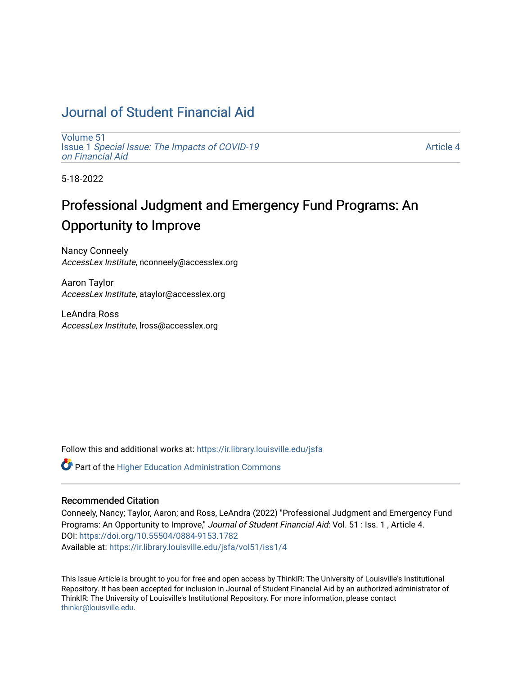## [Journal of Student Financial Aid](https://ir.library.louisville.edu/jsfa)

[Volume 51](https://ir.library.louisville.edu/jsfa/vol51) Issue 1 [Special Issue: The Impacts of COVID-19](https://ir.library.louisville.edu/jsfa/vol51/iss1)  [on Financial Aid](https://ir.library.louisville.edu/jsfa/vol51/iss1) 

[Article 4](https://ir.library.louisville.edu/jsfa/vol51/iss1/4) 

5-18-2022

# Professional Judgment and Emergency Fund Programs: An Opportunity to Improve

Nancy Conneely AccessLex Institute, nconneely@accesslex.org

Aaron Taylor AccessLex Institute, ataylor@accesslex.org

LeAndra Ross AccessLex Institute, lross@accesslex.org

Follow this and additional works at: [https://ir.library.louisville.edu/jsfa](https://ir.library.louisville.edu/jsfa?utm_source=ir.library.louisville.edu%2Fjsfa%2Fvol51%2Fiss1%2F4&utm_medium=PDF&utm_campaign=PDFCoverPages) 

**C** Part of the Higher Education Administration Commons

## Recommended Citation

Conneely, Nancy; Taylor, Aaron; and Ross, LeAndra (2022) "Professional Judgment and Emergency Fund Programs: An Opportunity to Improve," Journal of Student Financial Aid: Vol. 51 : Iss. 1, Article 4. DOI:<https://doi.org/10.55504/0884-9153.1782> Available at: [https://ir.library.louisville.edu/jsfa/vol51/iss1/4](https://ir.library.louisville.edu/jsfa/vol51/iss1/4?utm_source=ir.library.louisville.edu%2Fjsfa%2Fvol51%2Fiss1%2F4&utm_medium=PDF&utm_campaign=PDFCoverPages) 

This Issue Article is brought to you for free and open access by ThinkIR: The University of Louisville's Institutional Repository. It has been accepted for inclusion in Journal of Student Financial Aid by an authorized administrator of ThinkIR: The University of Louisville's Institutional Repository. For more information, please contact [thinkir@louisville.edu.](mailto:thinkir@louisville.edu)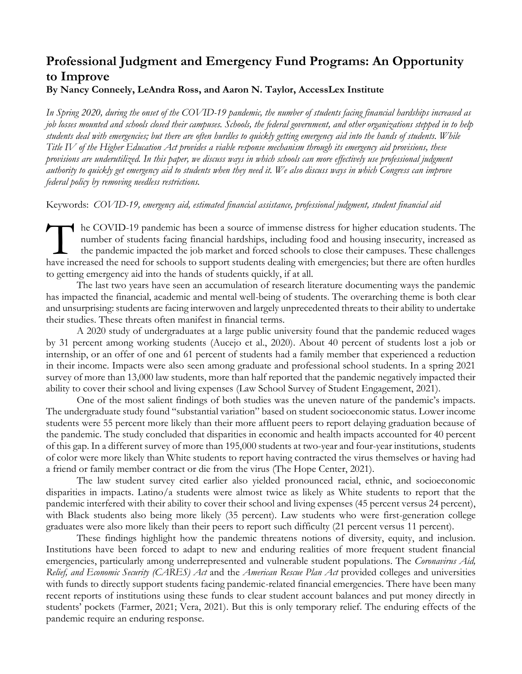## **Professional Judgment and Emergency Fund Programs: An Opportunity to Improve**

## **By Nancy Conneely, LeAndra Ross, and Aaron N. Taylor, AccessLex Institute**

*In Spring 2020, during the onset of the COVID-19 pandemic, the number of students facing financial hardships increased as job losses mounted and schools closed their campuses. Schools, the federal government, and other organizations stepped in to help students deal with emergencies; but there are often hurdles to quickly getting emergency aid into the hands of students. While Title IV of the Higher Education Act provides a viable response mechanism through its emergency aid provisions, these provisions are underutilized. In this paper, we discuss ways in which schools can more effectively use professional judgment authority to quickly get emergency aid to students when they need it. We also discuss ways in which Congress can improve federal policy by removing needless restrictions.*

Keywords: *COVID-19, emergency aid, estimated financial assistance, professional judgment, student financial aid*

he COVID-19 pandemic has been a source of immense distress for higher education students. The number of students facing financial hardships, including food and housing insecurity, increased as the pandemic impacted the job market and forced schools to close their campuses. These challenges The COVID-19 pandemic has been a source of immense distress for higher education students. The number of students facing financial hardships, including food and housing insecurity, increased as the pandemic impacted the jo to getting emergency aid into the hands of students quickly, if at all.

The last two years have seen an accumulation of research literature documenting ways the pandemic has impacted the financial, academic and mental well-being of students. The overarching theme is both clear and unsurprising: students are facing interwoven and largely unprecedented threats to their ability to undertake their studies. These threats often manifest in financial terms.

A 2020 study of undergraduates at a large public university found that the pandemic reduced wages by 31 percent among working students (Aucejo et al., 2020). About 40 percent of students lost a job or internship, or an offer of one and 61 percent of students had a family member that experienced a reduction in their income. Impacts were also seen among graduate and professional school students. In a spring 2021 survey of more than 13,000 law students, more than half reported that the pandemic negatively impacted their ability to cover their school and living expenses (Law School Survey of Student Engagement, 2021).

One of the most salient findings of both studies was the uneven nature of the pandemic's impacts. The undergraduate study found "substantial variation" based on student socioeconomic status. Lower income students were 55 percent more likely than their more affluent peers to report delaying graduation because of the pandemic. The study concluded that disparities in economic and health impacts accounted for 40 percent of this gap. In a different survey of more than 195,000 students at two-year and four-year institutions, students of color were more likely than White students to report having contracted the virus themselves or having had a friend or family member contract or die from the virus (The Hope Center, 2021).

The law student survey cited earlier also yielded pronounced racial, ethnic, and socioeconomic disparities in impacts. Latino/a students were almost twice as likely as White students to report that the pandemic interfered with their ability to cover their school and living expenses (45 percent versus 24 percent), with Black students also being more likely (35 percent). Law students who were first-generation college graduates were also more likely than their peers to report such difficulty (21 percent versus 11 percent).

These findings highlight how the pandemic threatens notions of diversity, equity, and inclusion. Institutions have been forced to adapt to new and enduring realities of more frequent student financial emergencies, particularly among underrepresented and vulnerable student populations. The *Coronavirus Aid, Relief, and Economic Security (CARES) Act* and the *American Rescue Plan Act* provided colleges and universities with funds to directly support students facing pandemic-related financial emergencies. There have been many recent reports of institutions using these funds to clear student account balances and put money directly in students' pockets (Farmer, 2021; Vera, 2021). But this is only temporary relief. The enduring effects of the pandemic require an enduring response.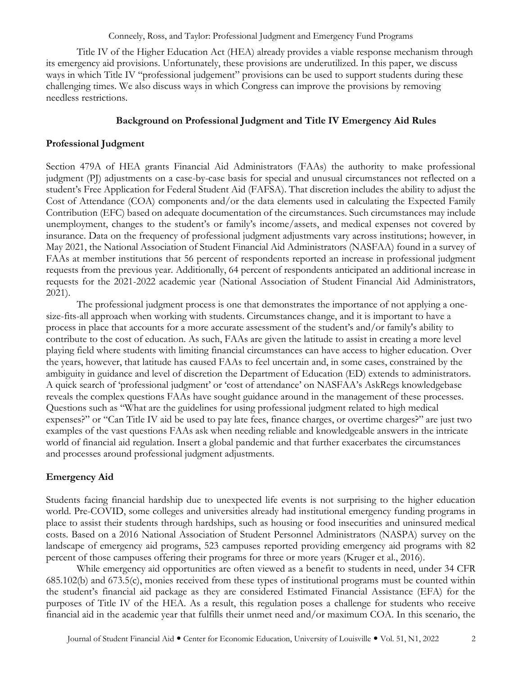Title IV of the Higher Education Act (HEA) already provides a viable response mechanism through its emergency aid provisions. Unfortunately, these provisions are underutilized. In this paper, we discuss ways in which Title IV "professional judgement" provisions can be used to support students during these challenging times. We also discuss ways in which Congress can improve the provisions by removing needless restrictions.

#### **Background on Professional Judgment and Title IV Emergency Aid Rules**

#### **Professional Judgment**

Section 479A of HEA grants Financial Aid Administrators (FAAs) the authority to make professional judgment (PJ) adjustments on a case-by-case basis for special and unusual circumstances not reflected on a student's Free Application for Federal Student Aid (FAFSA). That discretion includes the ability to adjust the Cost of Attendance (COA) components and/or the data elements used in calculating the Expected Family Contribution (EFC) based on adequate documentation of the circumstances. Such circumstances may include unemployment, changes to the student's or family's income/assets, and medical expenses not covered by insurance. Data on the frequency of professional judgment adjustments vary across institutions; however, in May 2021, the National Association of Student Financial Aid Administrators (NASFAA) found in a survey of FAAs at member institutions that 56 percent of respondents reported an increase in professional judgment requests from the previous year. Additionally, 64 percent of respondents anticipated an additional increase in requests for the 2021-2022 academic year (National Association of Student Financial Aid Administrators, 2021).

The professional judgment process is one that demonstrates the importance of not applying a onesize-fits-all approach when working with students. Circumstances change, and it is important to have a process in place that accounts for a more accurate assessment of the student's and/or family's ability to contribute to the cost of education. As such, FAAs are given the latitude to assist in creating a more level playing field where students with limiting financial circumstances can have access to higher education. Over the years, however, that latitude has caused FAAs to feel uncertain and, in some cases, constrained by the ambiguity in guidance and level of discretion the Department of Education (ED) extends to administrators. A quick search of 'professional judgment' or 'cost of attendance' on NASFAA's AskRegs knowledgebase reveals the complex questions FAAs have sought guidance around in the management of these processes. Questions such as "What are the guidelines for using professional judgment related to high medical expenses?" or "Can Title IV aid be used to pay late fees, finance charges, or overtime charges?" are just two examples of the vast questions FAAs ask when needing reliable and knowledgeable answers in the intricate world of financial aid regulation. Insert a global pandemic and that further exacerbates the circumstances and processes around professional judgment adjustments.

## **Emergency Aid**

Students facing financial hardship due to unexpected life events is not surprising to the higher education world. Pre-COVID, some colleges and universities already had institutional emergency funding programs in place to assist their students through hardships, such as housing or food insecurities and uninsured medical costs. Based on a 2016 National Association of Student Personnel Administrators (NASPA) survey on the landscape of emergency aid programs, 523 campuses reported providing emergency aid programs with 82 percent of those campuses offering their programs for three or more years (Kruger et al., 2016).

While emergency aid opportunities are often viewed as a benefit to students in need, under 34 CFR 685.102(b) and 673.5(c), monies received from these types of institutional programs must be counted within the student's financial aid package as they are considered Estimated Financial Assistance (EFA) for the purposes of Title IV of the HEA. As a result, this regulation poses a challenge for students who receive financial aid in the academic year that fulfills their unmet need and/or maximum COA. In this scenario, the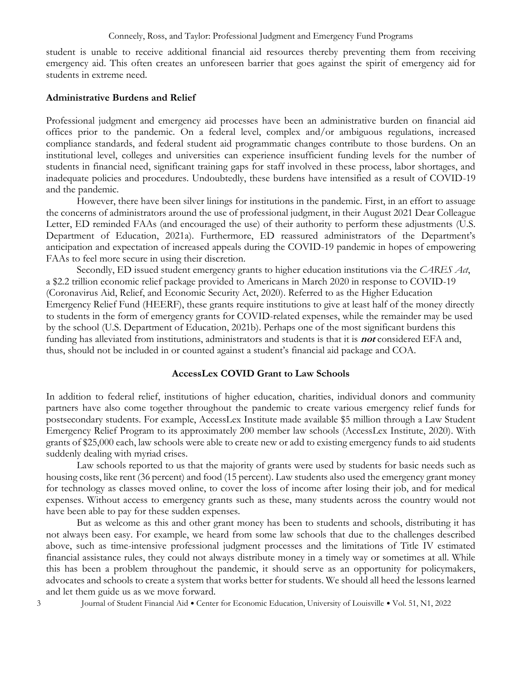student is unable to receive additional financial aid resources thereby preventing them from receiving emergency aid. This often creates an unforeseen barrier that goes against the spirit of emergency aid for students in extreme need.

## **Administrative Burdens and Relief**

Professional judgment and emergency aid processes have been an administrative burden on financial aid offices prior to the pandemic. On a federal level, complex and/or ambiguous regulations, increased compliance standards, and federal student aid programmatic changes contribute to those burdens. On an institutional level, colleges and universities can experience insufficient funding levels for the number of students in financial need, significant training gaps for staff involved in these process, labor shortages, and inadequate policies and procedures. Undoubtedly, these burdens have intensified as a result of COVID-19 and the pandemic.

However, there have been silver linings for institutions in the pandemic. First, in an effort to assuage the concerns of administrators around the use of professional judgment, in their August 2021 Dear Colleague Letter, ED reminded FAAs (and encouraged the use) of their authority to perform these adjustments (U.S. Department of Education, 2021a). Furthermore, ED reassured administrators of the Department's anticipation and expectation of increased appeals during the COVID-19 pandemic in hopes of empowering FAAs to feel more secure in using their discretion.

Secondly, ED issued student emergency grants to higher education institutions via the *CARES Act*, a \$2.2 trillion economic relief package provided to Americans in March 2020 in response to COVID-19 (Coronavirus Aid, Relief, and Economic Security Act, 2020). Referred to as the Higher Education Emergency Relief Fund (HEERF), these grants require institutions to give at least half of the money directly to students in the form of emergency grants for COVID-related expenses, while the remainder may be used by the school (U.S. Department of Education, 2021b). Perhaps one of the most significant burdens this funding has alleviated from institutions, administrators and students is that it is **not** considered EFA and, thus, should not be included in or counted against a student's financial aid package and COA.

#### **AccessLex COVID Grant to Law Schools**

In addition to federal relief, institutions of higher education, charities, individual donors and community partners have also come together throughout the pandemic to create various emergency relief funds for postsecondary students. For example, AccessLex Institute made available \$5 million through a Law Student Emergency Relief Program to its approximately 200 member law schools (AccessLex Institute, 2020). With grants of \$25,000 each, law schools were able to create new or add to existing emergency funds to aid students suddenly dealing with myriad crises.

Law schools reported to us that the majority of grants were used by students for basic needs such as housing costs, like rent (36 percent) and food (15 percent). Law students also used the emergency grant money for technology as classes moved online, to cover the loss of income after losing their job, and for medical expenses. Without access to emergency grants such as these, many students across the country would not have been able to pay for these sudden expenses.

But as welcome as this and other grant money has been to students and schools, distributing it has not always been easy. For example, we heard from some law schools that due to the challenges described above, such as time-intensive professional judgment processes and the limitations of Title IV estimated financial assistance rules, they could not always distribute money in a timely way or sometimes at all. While this has been a problem throughout the pandemic, it should serve as an opportunity for policymakers, advocates and schools to create a system that works better for students. We should all heed the lessons learned and let them guide us as we move forward.

3 Journal of Student Financial Aid • Center for Economic Education, University of Louisville • Vol. 51, N1, 2022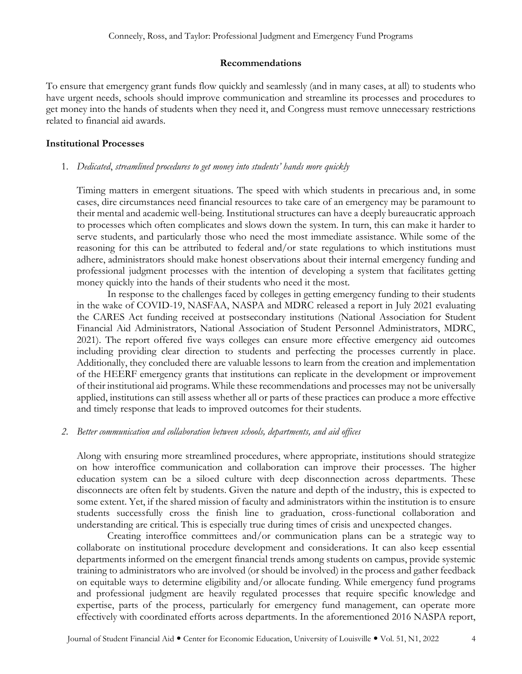## **Recommendations**

To ensure that emergency grant funds flow quickly and seamlessly (and in many cases, at all) to students who have urgent needs, schools should improve communication and streamline its processes and procedures to get money into the hands of students when they need it, and Congress must remove unnecessary restrictions related to financial aid awards.

## **Institutional Processes**

1. *Dedicated*, *streamlined procedures to get money into students' hands more quickly*

Timing matters in emergent situations. The speed with which students in precarious and, in some cases, dire circumstances need financial resources to take care of an emergency may be paramount to their mental and academic well-being. Institutional structures can have a deeply bureaucratic approach to processes which often complicates and slows down the system. In turn, this can make it harder to serve students, and particularly those who need the most immediate assistance. While some of the reasoning for this can be attributed to federal and/or state regulations to which institutions must adhere, administrators should make honest observations about their internal emergency funding and professional judgment processes with the intention of developing a system that facilitates getting money quickly into the hands of their students who need it the most.

In response to the challenges faced by colleges in getting emergency funding to their students in the wake of COVID-19, NASFAA, NASPA and MDRC released a report in July 2021 evaluating the CARES Act funding received at postsecondary institutions (National Association for Student Financial Aid Administrators, National Association of Student Personnel Administrators, MDRC, 2021). The report offered five ways colleges can ensure more effective emergency aid outcomes including providing clear direction to students and perfecting the processes currently in place. Additionally, they concluded there are valuable lessons to learn from the creation and implementation of the HEERF emergency grants that institutions can replicate in the development or improvement of their institutional aid programs. While these recommendations and processes may not be universally applied, institutions can still assess whether all or parts of these practices can produce a more effective and timely response that leads to improved outcomes for their students.

## *2. Better communication and collaboration between schools, departments, and aid offices*

Along with ensuring more streamlined procedures, where appropriate, institutions should strategize on how interoffice communication and collaboration can improve their processes. The higher education system can be a siloed culture with deep disconnection across departments. These disconnects are often felt by students. Given the nature and depth of the industry, this is expected to some extent. Yet, if the shared mission of faculty and administrators within the institution is to ensure students successfully cross the finish line to graduation, cross-functional collaboration and understanding are critical. This is especially true during times of crisis and unexpected changes.

Creating interoffice committees and/or communication plans can be a strategic way to collaborate on institutional procedure development and considerations. It can also keep essential departments informed on the emergent financial trends among students on campus, provide systemic training to administrators who are involved (or should be involved) in the process and gather feedback on equitable ways to determine eligibility and/or allocate funding. While emergency fund programs and professional judgment are heavily regulated processes that require specific knowledge and expertise, parts of the process, particularly for emergency fund management, can operate more effectively with coordinated efforts across departments. In the aforementioned 2016 NASPA report,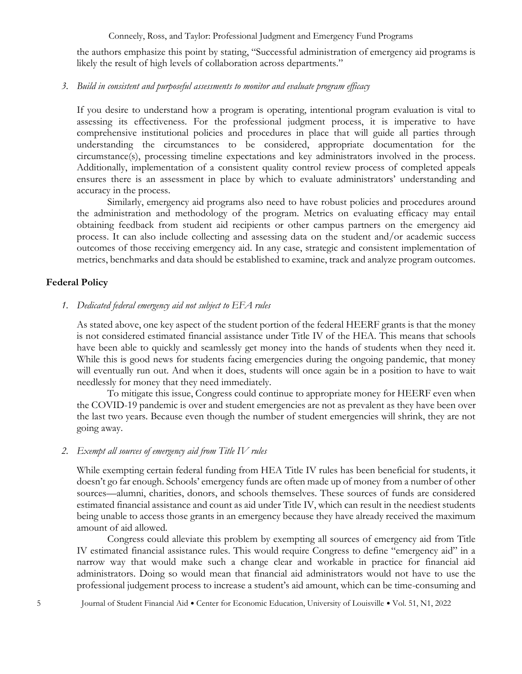the authors emphasize this point by stating, "Successful administration of emergency aid programs is likely the result of high levels of collaboration across departments."

## *3. Build in consistent and purposeful assessments to monitor and evaluate program efficacy*

If you desire to understand how a program is operating, intentional program evaluation is vital to assessing its effectiveness. For the professional judgment process, it is imperative to have comprehensive institutional policies and procedures in place that will guide all parties through understanding the circumstances to be considered, appropriate documentation for the circumstance(s), processing timeline expectations and key administrators involved in the process. Additionally, implementation of a consistent quality control review process of completed appeals ensures there is an assessment in place by which to evaluate administrators' understanding and accuracy in the process.

Similarly, emergency aid programs also need to have robust policies and procedures around the administration and methodology of the program. Metrics on evaluating efficacy may entail obtaining feedback from student aid recipients or other campus partners on the emergency aid process. It can also include collecting and assessing data on the student and/or academic success outcomes of those receiving emergency aid. In any case, strategic and consistent implementation of metrics, benchmarks and data should be established to examine, track and analyze program outcomes.

## **Federal Policy**

*1. Dedicated federal emergency aid not subject to EFA rules*

As stated above, one key aspect of the student portion of the federal HEERF grants is that the money is not considered estimated financial assistance under Title IV of the HEA. This means that schools have been able to quickly and seamlessly get money into the hands of students when they need it. While this is good news for students facing emergencies during the ongoing pandemic, that money will eventually run out. And when it does, students will once again be in a position to have to wait needlessly for money that they need immediately.

To mitigate this issue, Congress could continue to appropriate money for HEERF even when the COVID-19 pandemic is over and student emergencies are not as prevalent as they have been over the last two years. Because even though the number of student emergencies will shrink, they are not going away.

#### *2. Exempt all sources of emergency aid from Title IV rules*

While exempting certain federal funding from HEA Title IV rules has been beneficial for students, it doesn't go far enough. Schools' emergency funds are often made up of money from a number of other sources—alumni, charities, donors, and schools themselves. These sources of funds are considered estimated financial assistance and count as aid under Title IV, which can result in the neediest students being unable to access those grants in an emergency because they have already received the maximum amount of aid allowed.

Congress could alleviate this problem by exempting all sources of emergency aid from Title IV estimated financial assistance rules. This would require Congress to define "emergency aid" in a narrow way that would make such a change clear and workable in practice for financial aid administrators. Doing so would mean that financial aid administrators would not have to use the professional judgement process to increase a student's aid amount, which can be time-consuming and

5 Journal of Student Financial Aid Center for Economic Education, University of Louisville Vol. 51, N1, 2022